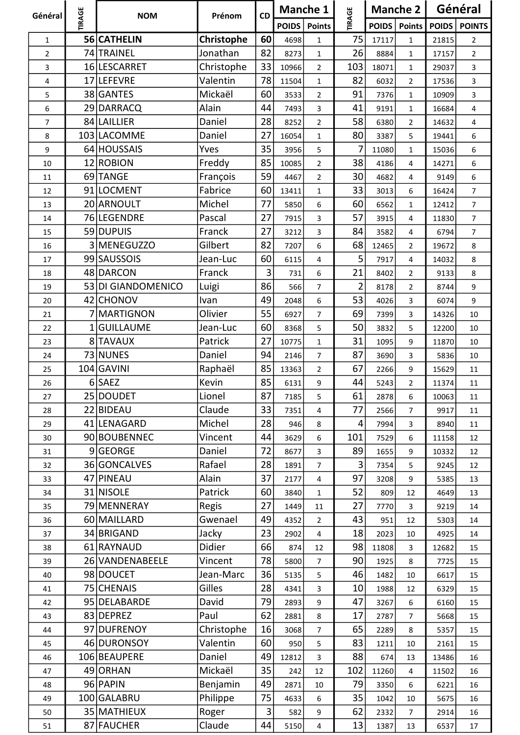| Général                 | <b>TIRAGE</b> | <b>NOM</b>         | Prénom     | <b>CD</b>      | <b>Manche 1</b> |                         |                | Manche 2     |                | Général      |                |
|-------------------------|---------------|--------------------|------------|----------------|-----------------|-------------------------|----------------|--------------|----------------|--------------|----------------|
|                         |               |                    |            |                | <b>POIDS</b>    | <b>Points</b>           | <b>TIRAGE</b>  | <b>POIDS</b> | <b>Points</b>  | <b>POIDS</b> | <b>POINTS</b>  |
| 1                       |               | 56 CATHELIN        | Christophe | 60             | 4698            | $\mathbf{1}$            | 75             | 17117        | $\mathbf{1}$   | 21815        | $\overline{2}$ |
| $\overline{\mathbf{c}}$ |               | 74 TRAINEL         | Jonathan   | 82             | 8273            | $\mathbf{1}$            | 26             | 8884         | $\mathbf{1}$   | 17157        | $\overline{2}$ |
| 3                       |               | 16 LESCARRET       | Christophe | 33             | 10966           | $\overline{2}$          | 103            | 18071        | $\mathbf{1}$   | 29037        | $\overline{3}$ |
| 4                       |               | 17 LEFEVRE         | Valentin   | 78             | 11504           | $\mathbf{1}$            | 82             | 6032         | $\overline{2}$ | 17536        | 3              |
| 5                       |               | 38 GANTES          | Mickaël    | 60             | 3533            | $\overline{2}$          | 91             | 7376         | $\mathbf{1}$   | 10909        | 3              |
| 6                       |               | 29 DARRACQ         | Alain      | 44             | 7493            | 3                       | 41             | 9191         | $\mathbf{1}$   | 16684        | 4              |
| 7                       |               | 84 LAILLIER        | Daniel     | 28             | 8252            | $\overline{2}$          | 58             | 6380         | $\overline{2}$ | 14632        | $\overline{4}$ |
| 8                       |               | 103 LACOMME        | Daniel     | 27             | 16054           | $\mathbf{1}$            | 80             | 3387         | 5              | 19441        | 6              |
| 9                       |               | 64 HOUSSAIS        | Yves       | 35             | 3956            | 5                       | 7              | 11080        | $\mathbf{1}$   | 15036        | 6              |
| 10                      |               | 12 ROBION          | Freddy     | 85             | 10085           | $\overline{2}$          | 38             | 4186         | 4              | 14271        | 6              |
| 11                      |               | 69 TANGE           | François   | 59             | 4467            | $\overline{2}$          | 30             | 4682         | 4              | 9149         | 6              |
| 12                      |               | 91 LOCMENT         | Fabrice    | 60             | 13411           | $\mathbf{1}$            | 33             | 3013         | 6              | 16424        | $\overline{7}$ |
| 13                      |               | 20 ARNOULT         | Michel     | 77             | 5850            | 6                       | 60             | 6562         | $\mathbf{1}$   | 12412        | $\overline{7}$ |
| 14                      |               | 76 LEGENDRE        | Pascal     | 27             | 7915            | 3                       | 57             | 3915         | 4              | 11830        | $\overline{7}$ |
| 15                      |               | 59 DUPUIS          | Franck     | 27             | 3212            | 3                       | 84             | 3582         | 4              | 6794         | $\overline{7}$ |
| 16                      |               | 3 MENEGUZZO        | Gilbert    | 82             | 7207            | 6                       | 68             | 12465        | $\overline{2}$ | 19672        | 8              |
| 17                      |               | 99 SAUSSOIS        | Jean-Luc   | 60             | 6115            | 4                       | 5              | 7917         | 4              | 14032        | 8              |
| 18                      |               | 48 DARCON          | Franck     | 3              | 731             | 6                       | 21             | 8402         | $\overline{2}$ | 9133         | 8              |
| 19                      |               | 53 DI GIANDOMENICO | Luigi      | 86             | 566             | $\overline{7}$          | $\overline{2}$ | 8178         | $\overline{2}$ | 8744         | 9              |
| 20                      |               | 42 CHONOV          | Ivan       | 49             | 2048            | $\boldsymbol{6}$        | 53             | 4026         | 3              | 6074         | 9              |
| 21                      |               | 7 MARTIGNON        | Olivier    | 55             | 6927            | $\overline{7}$          | 69             | 7399         | 3              | 14326        | 10             |
| 22                      |               | 1 GUILLAUME        | Jean-Luc   | 60             | 8368            | 5                       | 50             | 3832         | 5              | 12200        | 10             |
| 23                      |               | 8 TAVAUX           | Patrick    | 27             | 10775           | $\mathbf 1$             | 31             | 1095         | 9              | 11870        | 10             |
| 24                      |               | 73 NUNES           | Daniel     | 94             | 2146            | $\overline{7}$          | 87             | 3690         | 3              | 5836         | 10             |
| 25                      |               | 104 GAVINI         | Raphaël    | 85             | 13363           | $\mathbf 2$             | 67             | 2266         | 9              | 15629        | 11             |
| 26                      |               | 6 SAEZ             | Kevin      | 85             | 6131            | 9                       | 44             | 5243         | $\overline{2}$ | 11374        | 11             |
| 27                      |               | 25 DOUDET          | Lionel     | 87             | 7185            | 5                       | 61             | 2878         | 6              | 10063        | 11             |
| 28                      |               | 22 BIDEAU          | Claude     | 33             | 7351            | 4                       | 77             | 2566         | $\overline{7}$ | 9917         | 11             |
| 29                      |               | 41 LENAGARD        | Michel     | 28             | 946             | 8                       | $\overline{4}$ | 7994         | 3              | 8940         | 11             |
| 30                      |               | 90 BOUBENNEC       | Vincent    | 44             | 3629            | 6                       | 101            | 7529         | 6              | 11158        | 12             |
| 31                      |               | 9GEORGE            | Daniel     | 72             | 8677            | 3                       | 89             | 1655         | 9              | 10332        | 12             |
| 32                      |               | 36 GONCALVES       | Rafael     | 28             | 1891            | $\overline{7}$          | $\overline{3}$ | 7354         | 5              | 9245         | 12             |
| 33                      |               | 47 PINEAU          | Alain      | 37             | 2177            | 4                       | 97             | 3208         | 9              | 5385         | 13             |
| 34                      |               | 31 NISOLE          | Patrick    | 60             | 3840            | $\mathbf{1}$            | 52             | 809          | 12             | 4649         | 13             |
| 35                      |               | 79 MENNERAY        | Regis      | 27             | 1449            | 11                      | 27             | 7770         | 3              | 9219         | 14             |
| 36                      |               | 60 MAILLARD        | Gwenael    | 49             | 4352            | $\overline{2}$          | 43             | 951          | 12             | 5303         | 14             |
| 37                      |               | 34 BRIGAND         | Jacky      | 23             | 2902            | 4                       | 18             | 2023         | 10             | 4925         | 14             |
| 38                      |               | 61 RAYNAUD         | Didier     | 66             | 874             | 12                      | 98             | 11808        | 3              | 12682        | 15             |
| 39                      |               | 26 VANDENABEELE    | Vincent    | 78             | 5800            | $\overline{7}$          | 90             | 1925         | 8              | 7725         | 15             |
| 40                      |               | 98 DOUCET          | Jean-Marc  | 36             | 5135            | 5                       | 46             | 1482         | 10             | 6617         | 15             |
| 41                      |               | 75 CHENAIS         | Gilles     | 28             | 4341            | 3                       | 10             | 1988         | 12             | 6329         | 15             |
| 42                      |               | 95 DELABARDE       | David      | 79             | 2893            | 9                       | 47             | 3267         | 6              | 6160         | 15             |
| 43                      |               | 83 DEPREZ          | Paul       | 62             | 2881            | 8                       | 17             | 2787         | $\overline{7}$ | 5668         | 15             |
| 44                      |               | 97 DUFRENOY        | Christophe | 16             | 3068            | $\overline{7}$          | 65             | 2289         | 8              | 5357         | 15             |
| 45                      |               | 46 DURONSOY        | Valentin   | 60             | 950             | 5                       | 83             | 1211         | 10             | 2161         | 15             |
| 46                      |               | 106 BEAUPERE       | Daniel     | 49             | 12812           | $\mathbf{3}$            | 88             | 674          | 13             | 13486        | 16             |
| 47                      |               | 49 ORHAN           | Mickaël    | 35             | 242             | 12                      | 102            | 11260        | 4              | 11502        | 16             |
| 48                      |               | 96 PAPIN           | Benjamin   | 49             | 2871            | 10                      | 79             | 3350         | 6              | 6221         | 16             |
| 49                      |               | 100 GALABRU        | Philippe   | 75             | 4633            | 6                       | 35             | 1042         | 10             | 5675         | 16             |
| 50                      |               | 35 MATHIEUX        | Roger      | $\overline{3}$ | 582             | 9                       | 62             | 2332         | $\overline{7}$ | 2914         | 16             |
| 51                      |               | 87 FAUCHER         | Claude     | 44             | 5150            | $\overline{\mathbf{4}}$ | 13             | 1387         | 13             | 6537         | 17             |
|                         |               |                    |            |                |                 |                         |                |              |                |              |                |